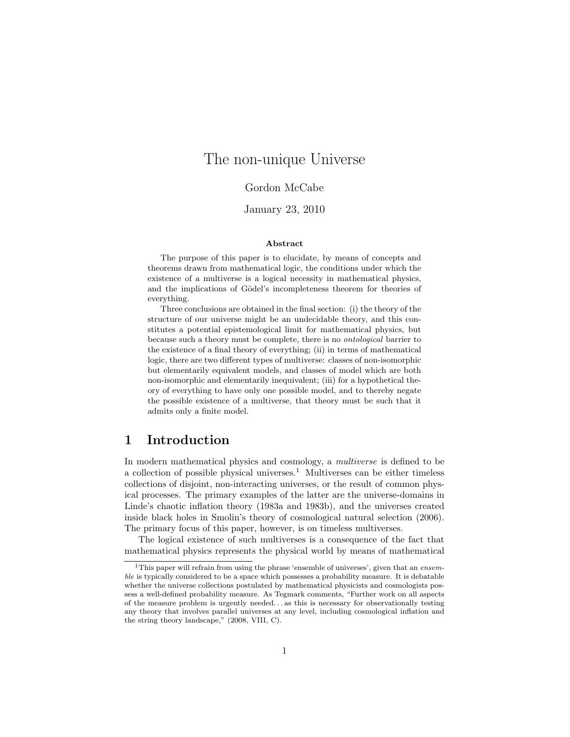## The non-unique Universe

Gordon McCabe

January 23, 2010

#### Abstract

The purpose of this paper is to elucidate, by means of concepts and theorems drawn from mathematical logic, the conditions under which the existence of a multiverse is a logical necessity in mathematical physics, and the implications of Gödel's incompleteness theorem for theories of everything.

Three conclusions are obtained in the final section: (i) the theory of the structure of our universe might be an undecidable theory, and this constitutes a potential epistemological limit for mathematical physics, but because such a theory must be complete, there is no ontological barrier to the existence of a final theory of everything; (ii) in terms of mathematical logic, there are two different types of multiverse: classes of non-isomorphic but elementarily equivalent models, and classes of model which are both non-isomorphic and elementarily inequivalent; (iii) for a hypothetical theory of everything to have only one possible model, and to thereby negate the possible existence of a multiverse, that theory must be such that it admits only a finite model.

#### 1 Introduction

In modern mathematical physics and cosmology, a multiverse is defined to be a collection of possible physical universes.<sup>1</sup> Multiverses can be either timeless collections of disjoint, non-interacting universes, or the result of common physical processes. The primary examples of the latter are the universe-domains in Linde's chaotic inflation theory (1983a and 1983b), and the universes created inside black holes in Smolin's theory of cosmological natural selection (2006). The primary focus of this paper, however, is on timeless multiverses.

The logical existence of such multiverses is a consequence of the fact that mathematical physics represents the physical world by means of mathematical

<sup>&</sup>lt;sup>1</sup>This paper will refrain from using the phrase 'ensemble of universes', given that an *ensem*ble is typically considered to be a space which possesses a probability measure. It is debatable whether the universe collections postulated by mathematical physicists and cosmologists possess a well-defined probability measure. As Tegmark comments, "Further work on all aspects of the measure problem is urgently needed. . . as this is necessary for observationally testing any theory that involves parallel universes at any level, including cosmological inflation and the string theory landscape," (2008, VIII, C).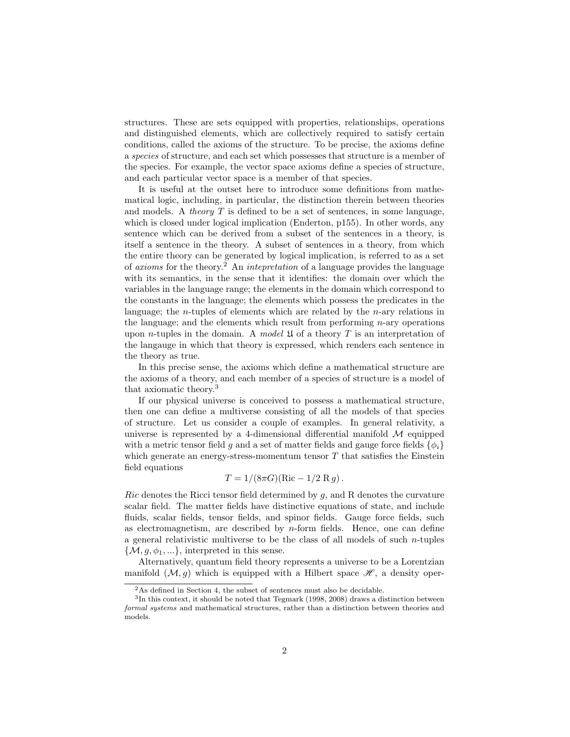structures. These are sets equipped with properties, relationships, operations and distinguished elements, which are collectively required to satisfy certain conditions, called the axioms of the structure. To be precise, the axioms define a species of structure, and each set which possesses that structure is a member of the species. For example, the vector space axioms define a species of structure, and each particular vector space is a member of that species.

It is useful at the outset here to introduce some definitions from mathematical logic, including, in particular, the distinction therein between theories and models. A theory  $T$  is defined to be a set of sentences, in some language, which is closed under logical implication (Enderton, p155). In other words, any sentence which can be derived from a subset of the sentences in a theory, is itself a sentence in the theory. A subset of sentences in a theory, from which the entire theory can be generated by logical implication, is referred to as a set of *axioms* for the theory.<sup>2</sup> An *intepretation* of a language provides the language with its semantics, in the sense that it identifies: the domain over which the variables in the language range; the elements in the domain which correspond to the constants in the language; the elements which possess the predicates in the language; the *n*-tuples of elements which are related by the *n*-ary relations in the language; and the elements which result from performing  $n$ -ary operations upon *n*-tuples in the domain. A model  $\mathfrak U$  of a theory T is an interpretation of the langauge in which that theory is expressed, which renders each sentence in the theory as true.

In this precise sense, the axioms which define a mathematical structure are the axioms of a theory, and each member of a species of structure is a model of that axiomatic theory.<sup>3</sup>

If our physical universe is conceived to possess a mathematical structure, then one can define a multiverse consisting of all the models of that species of structure. Let us consider a couple of examples. In general relativity, a universe is represented by a 4-dimensional differential manifold  $M$  equipped with a metric tensor field g and a set of matter fields and gauge force fields  $\{\phi_i\}$ which generate an energy-stress-momentum tensor  $T$  that satisfies the Einstein field equations

$$
T = 1/(8\pi G)(\text{Ric} - 1/2 \text{ R } g).
$$

 $Ric$  denotes the Ricci tensor field determined by  $g$ , and R denotes the curvature scalar field. The matter fields have distinctive equations of state, and include fluids, scalar fields, tensor fields, and spinor fields. Gauge force fields, such as electromagnetism, are described by  $n$ -form fields. Hence, one can define a general relativistic multiverse to be the class of all models of such  $n$ -tuples  $\{\mathcal{M}, q, \phi_1, ...\}$ , interpreted in this sense.

Alternatively, quantum field theory represents a universe to be a Lorentzian manifold  $(M, g)$  which is equipped with a Hilbert space  $\mathscr{H}$ , a density oper-

<sup>&</sup>lt;sup>2</sup>As defined in Section 4, the subset of sentences must also be decidable.

<sup>&</sup>lt;sup>3</sup>In this context, it should be noted that Tegmark (1998, 2008) draws a distinction between formal systems and mathematical structures, rather than a distinction between theories and models.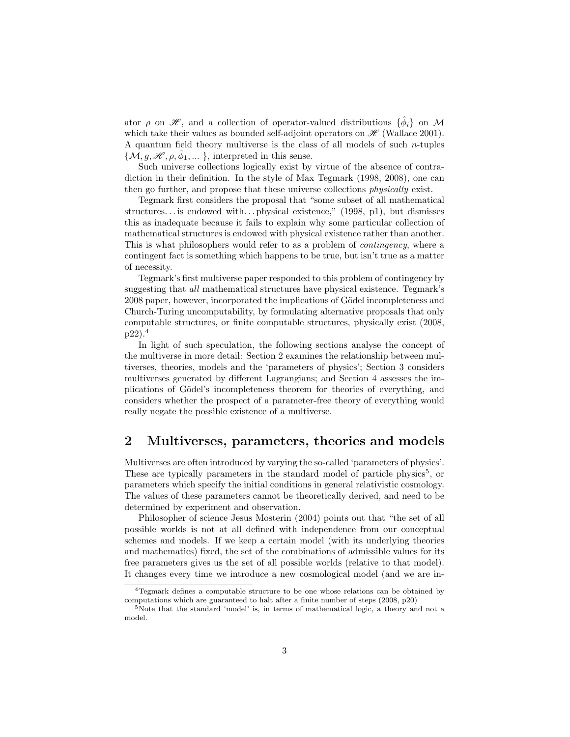ator  $\rho$  on  $\mathscr{H}$ , and a collection of operator-valued distributions  $\{\hat{\phi}_i\}$  on  $\mathcal M$ which take their values as bounded self-adjoint operators on  $\mathscr{H}$  (Wallace 2001). A quantum field theory multiverse is the class of all models of such n-tuples  $\{\mathcal{M}, g, \mathcal{H}, \rho, \hat{\phi}_1, \dots\}$ , interpreted in this sense.

Such universe collections logically exist by virtue of the absence of contradiction in their definition. In the style of Max Tegmark (1998, 2008), one can then go further, and propose that these universe collections physically exist.

Tegmark first considers the proposal that "some subset of all mathematical structures... is endowed with... physical existence," (1998, p1), but dismisses this as inadequate because it fails to explain why some particular collection of mathematical structures is endowed with physical existence rather than another. This is what philosophers would refer to as a problem of contingency, where a contingent fact is something which happens to be true, but isn't true as a matter of necessity.

Tegmark's first multiverse paper responded to this problem of contingency by suggesting that all mathematical structures have physical existence. Tegmark's 2008 paper, however, incorporated the implications of Gödel incompleteness and Church-Turing uncomputability, by formulating alternative proposals that only computable structures, or finite computable structures, physically exist (2008, p22).<sup>4</sup>

In light of such speculation, the following sections analyse the concept of the multiverse in more detail: Section 2 examines the relationship between multiverses, theories, models and the 'parameters of physics'; Section 3 considers multiverses generated by different Lagrangians; and Section 4 assesses the implications of Gödel's incompleteness theorem for theories of everything, and considers whether the prospect of a parameter-free theory of everything would really negate the possible existence of a multiverse.

#### 2 Multiverses, parameters, theories and models

Multiverses are often introduced by varying the so-called 'parameters of physics'. These are typically parameters in the standard model of particle physics<sup>5</sup>, or parameters which specify the initial conditions in general relativistic cosmology. The values of these parameters cannot be theoretically derived, and need to be determined by experiment and observation.

Philosopher of science Jesus Mosterin (2004) points out that "the set of all possible worlds is not at all defined with independence from our conceptual schemes and models. If we keep a certain model (with its underlying theories and mathematics) fixed, the set of the combinations of admissible values for its free parameters gives us the set of all possible worlds (relative to that model). It changes every time we introduce a new cosmological model (and we are in-

<sup>4</sup>Tegmark defines a computable structure to be one whose relations can be obtained by computations which are guaranteed to halt after a finite number of steps (2008, p20)

<sup>5</sup>Note that the standard 'model' is, in terms of mathematical logic, a theory and not a model.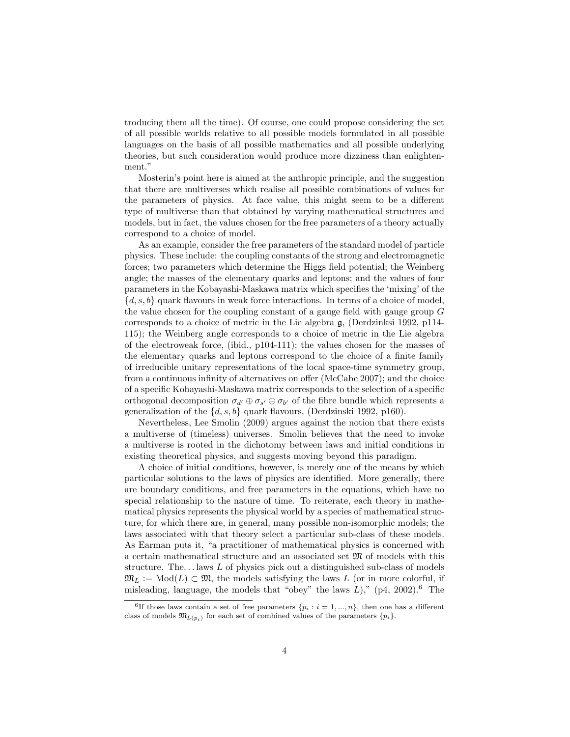troducing them all the time). Of course, one could propose considering the set of all possible worlds relative to all possible models formulated in all possible languages on the basis of all possible mathematics and all possible underlying theories, but such consideration would produce more dizziness than enlightenment."

Mosterin's point here is aimed at the anthropic principle, and the suggestion that there are multiverses which realise all possible combinations of values for the parameters of physics. At face value, this might seem to be a different type of multiverse than that obtained by varying mathematical structures and models, but in fact, the values chosen for the free parameters of a theory actually correspond to a choice of model.

As an example, consider the free parameters of the standard model of particle physics. These include: the coupling constants of the strong and electromagnetic forces; two parameters which determine the Higgs field potential; the Weinberg angle; the masses of the elementary quarks and leptons; and the values of four parameters in the Kobayashi-Maskawa matrix which specifies the 'mixing' of the  $\{d, s, b\}$  quark flavours in weak force interactions. In terms of a choice of model, the value chosen for the coupling constant of a gauge field with gauge group G corresponds to a choice of metric in the Lie algebra g, (Derdzinksi 1992, p114- 115); the Weinberg angle corresponds to a choice of metric in the Lie algebra of the electroweak force, (ibid., p104-111); the values chosen for the masses of the elementary quarks and leptons correspond to the choice of a finite family of irreducible unitary representations of the local space-time symmetry group, from a continuous infinity of alternatives on offer (McCabe 2007); and the choice of a specific Kobayashi-Maskawa matrix corresponds to the selection of a specific orthogonal decomposition  $\sigma_{d'} \oplus \sigma_{s'} \oplus \sigma_{b'}$  of the fibre bundle which represents a generalization of the  $\{d, s, b\}$  quark flavours, (Derdzinski 1992, p160).

Nevertheless, Lee Smolin (2009) argues against the notion that there exists a multiverse of (timeless) universes. Smolin believes that the need to invoke a multiverse is rooted in the dichotomy between laws and initial conditions in existing theoretical physics, and suggests moving beyond this paradigm.

A choice of initial conditions, however, is merely one of the means by which particular solutions to the laws of physics are identified. More generally, there are boundary conditions, and free parameters in the equations, which have no special relationship to the nature of time. To reiterate, each theory in mathematical physics represents the physical world by a species of mathematical structure, for which there are, in general, many possible non-isomorphic models; the laws associated with that theory select a particular sub-class of these models. As Earman puts it, "a practitioner of mathematical physics is concerned with a certain mathematical structure and an associated set M of models with this structure. The... laws  $L$  of physics pick out a distinguished sub-class of models  $\mathfrak{M}_L := \text{Mod}(L) \subset \mathfrak{M}$ , the models satisfying the laws L (or in more colorful, if misleading, language, the models that "obey" the laws  $L$ )," (p4, 2002).<sup>6</sup> The

<sup>&</sup>lt;sup>6</sup>If those laws contain a set of free parameters  $\{p_i : i = 1, ..., n\}$ , then one has a different class of models  $\mathfrak{M}_{L(p_i)}$  for each set of combined values of the parameters  $\{p_i\}$ .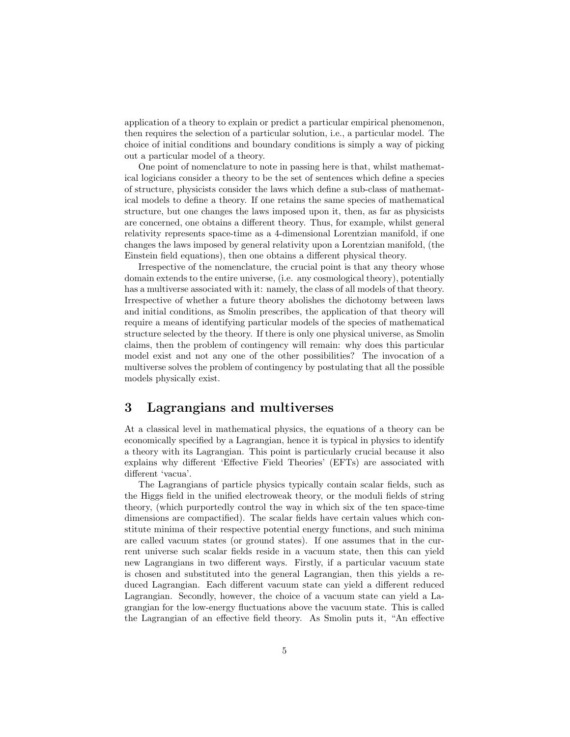application of a theory to explain or predict a particular empirical phenomenon, then requires the selection of a particular solution, i.e., a particular model. The choice of initial conditions and boundary conditions is simply a way of picking out a particular model of a theory.

One point of nomenclature to note in passing here is that, whilst mathematical logicians consider a theory to be the set of sentences which define a species of structure, physicists consider the laws which define a sub-class of mathematical models to define a theory. If one retains the same species of mathematical structure, but one changes the laws imposed upon it, then, as far as physicists are concerned, one obtains a different theory. Thus, for example, whilst general relativity represents space-time as a 4-dimensional Lorentzian manifold, if one changes the laws imposed by general relativity upon a Lorentzian manifold, (the Einstein field equations), then one obtains a different physical theory.

Irrespective of the nomenclature, the crucial point is that any theory whose domain extends to the entire universe, (i.e. any cosmological theory), potentially has a multiverse associated with it: namely, the class of all models of that theory. Irrespective of whether a future theory abolishes the dichotomy between laws and initial conditions, as Smolin prescribes, the application of that theory will require a means of identifying particular models of the species of mathematical structure selected by the theory. If there is only one physical universe, as Smolin claims, then the problem of contingency will remain: why does this particular model exist and not any one of the other possibilities? The invocation of a multiverse solves the problem of contingency by postulating that all the possible models physically exist.

#### 3 Lagrangians and multiverses

At a classical level in mathematical physics, the equations of a theory can be economically specified by a Lagrangian, hence it is typical in physics to identify a theory with its Lagrangian. This point is particularly crucial because it also explains why different 'Effective Field Theories' (EFTs) are associated with different 'vacua'.

The Lagrangians of particle physics typically contain scalar fields, such as the Higgs field in the unified electroweak theory, or the moduli fields of string theory, (which purportedly control the way in which six of the ten space-time dimensions are compactified). The scalar fields have certain values which constitute minima of their respective potential energy functions, and such minima are called vacuum states (or ground states). If one assumes that in the current universe such scalar fields reside in a vacuum state, then this can yield new Lagrangians in two different ways. Firstly, if a particular vacuum state is chosen and substituted into the general Lagrangian, then this yields a reduced Lagrangian. Each different vacuum state can yield a different reduced Lagrangian. Secondly, however, the choice of a vacuum state can yield a Lagrangian for the low-energy fluctuations above the vacuum state. This is called the Lagrangian of an effective field theory. As Smolin puts it, "An effective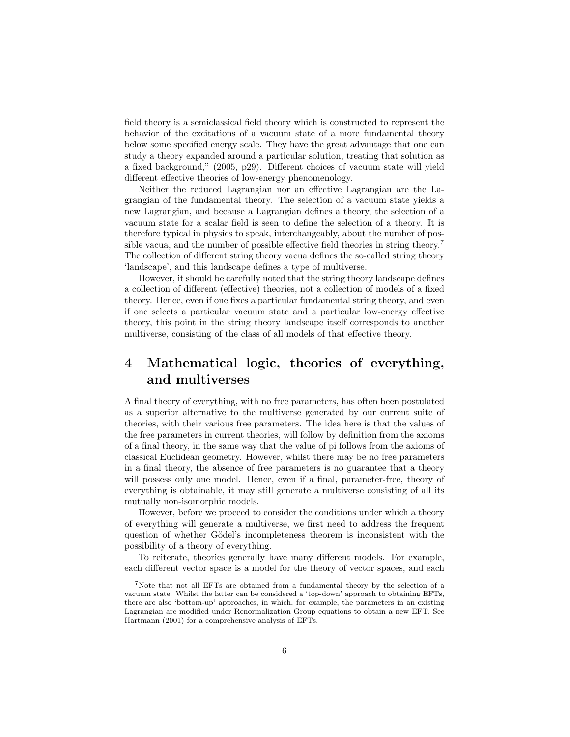field theory is a semiclassical field theory which is constructed to represent the behavior of the excitations of a vacuum state of a more fundamental theory below some specified energy scale. They have the great advantage that one can study a theory expanded around a particular solution, treating that solution as a fixed background," (2005, p29). Different choices of vacuum state will yield different effective theories of low-energy phenomenology.

Neither the reduced Lagrangian nor an effective Lagrangian are the Lagrangian of the fundamental theory. The selection of a vacuum state yields a new Lagrangian, and because a Lagrangian defines a theory, the selection of a vacuum state for a scalar field is seen to define the selection of a theory. It is therefore typical in physics to speak, interchangeably, about the number of possible vacua, and the number of possible effective field theories in string theory.<sup>7</sup> The collection of different string theory vacua defines the so-called string theory 'landscape', and this landscape defines a type of multiverse.

However, it should be carefully noted that the string theory landscape defines a collection of different (effective) theories, not a collection of models of a fixed theory. Hence, even if one fixes a particular fundamental string theory, and even if one selects a particular vacuum state and a particular low-energy effective theory, this point in the string theory landscape itself corresponds to another multiverse, consisting of the class of all models of that effective theory.

# 4 Mathematical logic, theories of everything, and multiverses

A final theory of everything, with no free parameters, has often been postulated as a superior alternative to the multiverse generated by our current suite of theories, with their various free parameters. The idea here is that the values of the free parameters in current theories, will follow by definition from the axioms of a final theory, in the same way that the value of pi follows from the axioms of classical Euclidean geometry. However, whilst there may be no free parameters in a final theory, the absence of free parameters is no guarantee that a theory will possess only one model. Hence, even if a final, parameter-free, theory of everything is obtainable, it may still generate a multiverse consisting of all its mutually non-isomorphic models.

However, before we proceed to consider the conditions under which a theory of everything will generate a multiverse, we first need to address the frequent question of whether Gödel's incompleteness theorem is inconsistent with the possibility of a theory of everything.

To reiterate, theories generally have many different models. For example, each different vector space is a model for the theory of vector spaces, and each

<sup>7</sup>Note that not all EFTs are obtained from a fundamental theory by the selection of a vacuum state. Whilst the latter can be considered a 'top-down' approach to obtaining EFTs, there are also 'bottom-up' approaches, in which, for example, the parameters in an existing Lagrangian are modified under Renormalization Group equations to obtain a new EFT. See Hartmann (2001) for a comprehensive analysis of EFTs.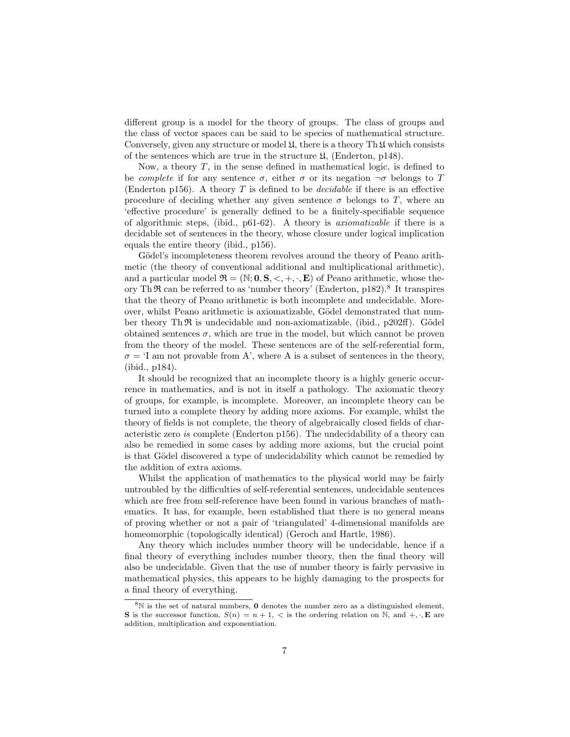different group is a model for the theory of groups. The class of groups and the class of vector spaces can be said to be species of mathematical structure. Conversely, given any structure or model  $\mathfrak{U}$ , there is a theory Th  $\mathfrak{U}$  which consists of the sentences which are true in the structure  $\mathfrak{U}$ , (Enderton, p148).

Now, a theory  $T$ , in the sense defined in mathematical logic, is defined to be *complete* if for any sentence  $\sigma$ , either  $\sigma$  or its negation  $\neg \sigma$  belongs to T (Enderton p156). A theory  $T$  is defined to be *decidable* if there is an effective procedure of deciding whether any given sentence  $\sigma$  belongs to T, where an 'effective procedure' is generally defined to be a finitely-specifiable sequence of algorithmic steps, (ibid.,  $p61-62$ ). A theory is *axiomatizable* if there is a decidable set of sentences in the theory, whose closure under logical implication equals the entire theory (ibid., p156).

Gödel's incompleteness theorem revolves around the theory of Peano arithmetic (the theory of conventional additional and multiplicational arithmetic), and a particular model  $\mathfrak{R} = (\mathbb{N}; 0, S, \leq, +, \cdot, E)$  of Peano arithmetic, whose theory Th $\Re$  can be referred to as 'number theory' (Enderton, p182).<sup>8</sup> It transpires that the theory of Peano arithmetic is both incomplete and undecidable. Moreover, whilst Peano arithmetic is axiomatizable, Gödel demonstrated that number theory Th $\Re$  is undecidable and non-axiomatizable, (ibid., p202ff). Gödel obtained sentences  $\sigma$ , which are true in the model, but which cannot be proven from the theory of the model. These sentences are of the self-referential form,  $\sigma =$  T am not provable from A', where A is a subset of sentences in the theory, (ibid., p184).

It should be recognized that an incomplete theory is a highly generic occurrence in mathematics, and is not in itself a pathology. The axiomatic theory of groups, for example, is incomplete. Moreover, an incomplete theory can be turned into a complete theory by adding more axioms. For example, whilst the theory of fields is not complete, the theory of algebraically closed fields of characteristic zero is complete (Enderton p156). The undecidability of a theory can also be remedied in some cases by adding more axioms, but the crucial point is that Gödel discovered a type of undecidability which cannot be remedied by the addition of extra axioms.

Whilst the application of mathematics to the physical world may be fairly untroubled by the difficulties of self-referential sentences, undecidable sentences which are free from self-reference have been found in various branches of mathematics. It has, for example, been established that there is no general means of proving whether or not a pair of 'triangulated' 4-dimensional manifolds are homeomorphic (topologically identical) (Geroch and Hartle, 1986).

Any theory which includes number theory will be undecidable, hence if a final theory of everything includes number theory, then the final theory will also be undecidable. Given that the use of number theory is fairly pervasive in mathematical physics, this appears to be highly damaging to the prospects for a final theory of everything.

 $8N$  is the set of natural numbers, 0 denotes the number zero as a distinguished element, **S** is the successor function,  $S(n) = n + 1$ ,  $\lt$  is the ordering relation on N, and  $+, \cdot, E$  are addition, multiplication and exponentiation.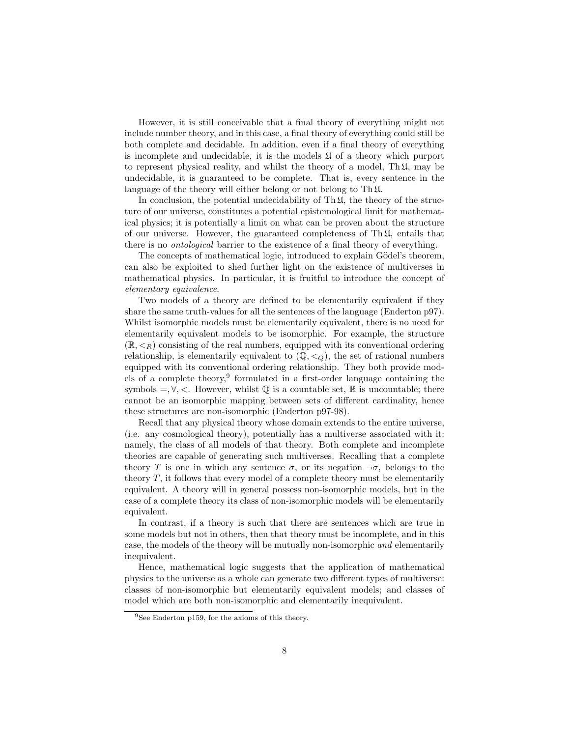However, it is still conceivable that a final theory of everything might not include number theory, and in this case, a final theory of everything could still be both complete and decidable. In addition, even if a final theory of everything is incomplete and undecidable, it is the models  $\mathfrak U$  of a theory which purport to represent physical reality, and whilst the theory of a model,  $Th \mathfrak{U}$ , may be undecidable, it is guaranteed to be complete. That is, every sentence in the language of the theory will either belong or not belong to Th U.

In conclusion, the potential undecidability of  $Th\mathfrak{U}$ , the theory of the structure of our universe, constitutes a potential epistemological limit for mathematical physics; it is potentially a limit on what can be proven about the structure of our universe. However, the guaranteed completeness of  $Th\mathfrak{U}$ , entails that there is no ontological barrier to the existence of a final theory of everything.

The concepts of mathematical logic, introduced to explain Gödel's theorem, can also be exploited to shed further light on the existence of multiverses in mathematical physics. In particular, it is fruitful to introduce the concept of elementary equivalence.

Two models of a theory are defined to be elementarily equivalent if they share the same truth-values for all the sentences of the language (Enderton p97). Whilst isomorphic models must be elementarily equivalent, there is no need for elementarily equivalent models to be isomorphic. For example, the structure  $(\mathbb{R}, \leq_R)$  consisting of the real numbers, equipped with its conventional ordering relationship, is elementarily equivalent to  $(Q, \leq_Q)$ , the set of rational numbers equipped with its conventional ordering relationship. They both provide models of a complete theory,<sup>9</sup> formulated in a first-order language containing the symbols  $=, \forall, \langle$ . However, whilst  $\mathbb Q$  is a countable set,  $\mathbb R$  is uncountable; there cannot be an isomorphic mapping between sets of different cardinality, hence these structures are non-isomorphic (Enderton p97-98).

Recall that any physical theory whose domain extends to the entire universe, (i.e. any cosmological theory), potentially has a multiverse associated with it: namely, the class of all models of that theory. Both complete and incomplete theories are capable of generating such multiverses. Recalling that a complete theory T is one in which any sentence  $\sigma$ , or its negation  $\neg \sigma$ , belongs to the theory  $T$ , it follows that every model of a complete theory must be elementarily equivalent. A theory will in general possess non-isomorphic models, but in the case of a complete theory its class of non-isomorphic models will be elementarily equivalent.

In contrast, if a theory is such that there are sentences which are true in some models but not in others, then that theory must be incomplete, and in this case, the models of the theory will be mutually non-isomorphic and elementarily inequivalent.

Hence, mathematical logic suggests that the application of mathematical physics to the universe as a whole can generate two different types of multiverse: classes of non-isomorphic but elementarily equivalent models; and classes of model which are both non-isomorphic and elementarily inequivalent.

<sup>9</sup>See Enderton p159, for the axioms of this theory.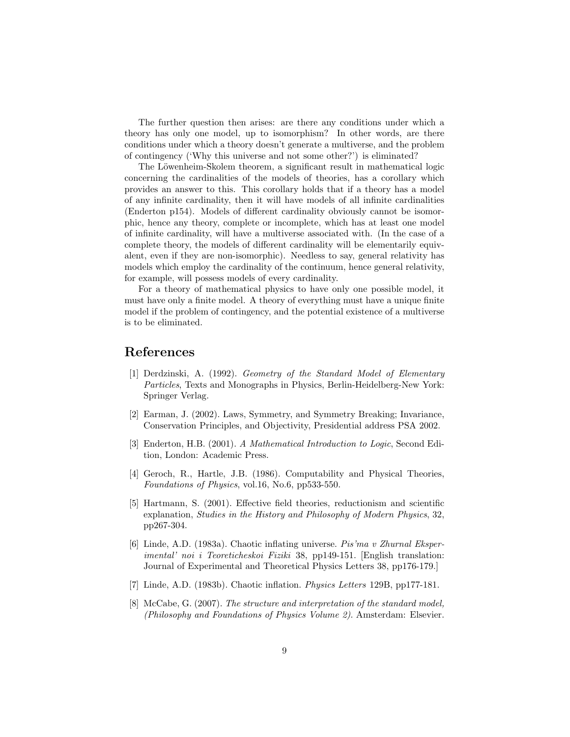The further question then arises: are there any conditions under which a theory has only one model, up to isomorphism? In other words, are there conditions under which a theory doesn't generate a multiverse, and the problem of contingency ('Why this universe and not some other?') is eliminated?

The Löwenheim-Skolem theorem, a significant result in mathematical logic concerning the cardinalities of the models of theories, has a corollary which provides an answer to this. This corollary holds that if a theory has a model of any infinite cardinality, then it will have models of all infinite cardinalities (Enderton p154). Models of different cardinality obviously cannot be isomorphic, hence any theory, complete or incomplete, which has at least one model of infinite cardinality, will have a multiverse associated with. (In the case of a complete theory, the models of different cardinality will be elementarily equivalent, even if they are non-isomorphic). Needless to say, general relativity has models which employ the cardinality of the continuum, hence general relativity, for example, will possess models of every cardinality.

For a theory of mathematical physics to have only one possible model, it must have only a finite model. A theory of everything must have a unique finite model if the problem of contingency, and the potential existence of a multiverse is to be eliminated.

### References

- [1] Derdzinski, A. (1992). Geometry of the Standard Model of Elementary Particles, Texts and Monographs in Physics, Berlin-Heidelberg-New York: Springer Verlag.
- [2] Earman, J. (2002). Laws, Symmetry, and Symmetry Breaking; Invariance, Conservation Principles, and Objectivity, Presidential address PSA 2002.
- [3] Enderton, H.B. (2001). A Mathematical Introduction to Logic, Second Edition, London: Academic Press.
- [4] Geroch, R., Hartle, J.B. (1986). Computability and Physical Theories, Foundations of Physics, vol.16, No.6, pp533-550.
- [5] Hartmann, S. (2001). Effective field theories, reductionism and scientific explanation, Studies in the History and Philosophy of Modern Physics, 32, pp267-304.
- [6] Linde, A.D. (1983a). Chaotic inflating universe. Pis'ma v Zhurnal Eksperimental' noi i Teoreticheskoi Fiziki 38, pp149-151. [English translation: Journal of Experimental and Theoretical Physics Letters 38, pp176-179.]
- [7] Linde, A.D. (1983b). Chaotic inflation. Physics Letters 129B, pp177-181.
- [8] McCabe, G. (2007). The structure and interpretation of the standard model, (Philosophy and Foundations of Physics Volume 2). Amsterdam: Elsevier.